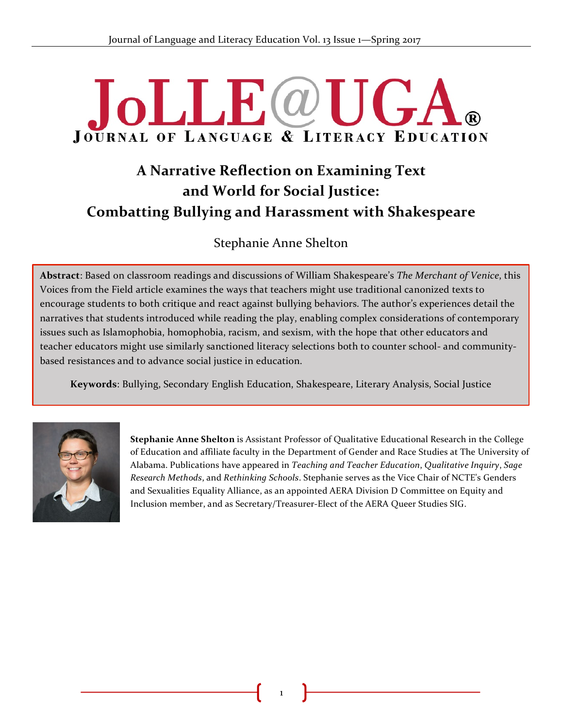# **JOLLE**@U **JOURNAL OF LANGUAGE & LITERACY EDUCATION**

# **A Narrative Reflection on Examining Text and World for Social Justice: Combatting Bullying and Harassment with Shakespeare**

# Stephanie Anne Shelton

**Abstract**: Based on classroom readings and discussions of William Shakespeare's *The Merchant of Venice*, this Voices from the Field article examines the ways that teachers might use traditional canonized texts to encourage students to both critique and react against bullying behaviors. The author's experiences detail the narratives that students introduced while reading the play, enabling complex considerations of contemporary issues such as Islamophobia, homophobia, racism, and sexism, with the hope that other educators and teacher educators might use similarly sanctioned literacy selections both to counter school- and communitybased resistances and to advance social justice in education.

**Keywords**: Bullying, Secondary English Education, Shakespeare, Literary Analysis, Social Justice



**Stephanie Anne Shelton** is Assistant Professor of Qualitative Educational Research in the College of Education and affiliate faculty in the Department of Gender and Race Studies at The University of Alabama. Publications have appeared in *Teaching and Teacher Education*, *Qualitative Inquiry*, *Sage Research Methods*, and *Rethinking Schools*. Stephanie serves as the Vice Chair of NCTE's Genders and Sexualities Equality Alliance, as an appointed AERA Division D Committee on Equity and Inclusion member, and as Secretary/Treasurer-Elect of the AERA Queer Studies SIG.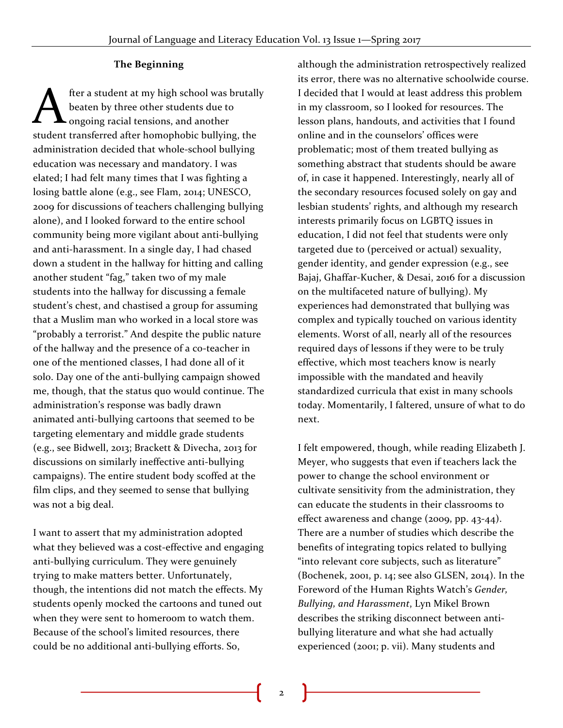#### **The Beginning**

fter a student at my high school was brutally beaten by three other students due to  $\blacktriangle$  ongoing racial tensions, and another **Solution 19 Separate A** free a student at my high school was brutall beaten by three other students due to ongoing racial tensions, and another student transferred after homophobic bullying, the administration decided that whole-school bullying education was necessary and mandatory. I was elated; I had felt many times that I was fighting a losing battle alone (e.g., see Flam, 2014; UNESCO, 2009 for discussions of teachers challenging bullying alone), and I looked forward to the entire school community being more vigilant about anti-bullying and anti-harassment. In a single day, I had chased down a student in the hallway for hitting and calling another student "fag," taken two of my male students into the hallway for discussing a female student's chest, and chastised a group for assuming that a Muslim man who worked in a local store was "probably a terrorist." And despite the public nature of the hallway and the presence of a co-teacher in one of the mentioned classes, I had done all of it solo. Day one of the anti-bullying campaign showed me, though, that the status quo would continue. The administration's response was badly drawn animated anti-bullying cartoons that seemed to be targeting elementary and middle grade students (e.g., see Bidwell, 2013; Brackett & Divecha, 2013 for discussions on similarly ineffective anti-bullying campaigns). The entire student body scoffed at the film clips, and they seemed to sense that bullying was not a big deal.

I want to assert that my administration adopted what they believed was a cost-effective and engaging anti-bullying curriculum. They were genuinely trying to make matters better. Unfortunately, though, the intentions did not match the effects. My students openly mocked the cartoons and tuned out when they were sent to homeroom to watch them. Because of the school's limited resources, there could be no additional anti-bullying efforts. So,

although the administration retrospectively realized its error, there was no alternative schoolwide course. I decided that I would at least address this problem in my classroom, so I looked for resources. The lesson plans, handouts, and activities that I found online and in the counselors' offices were problematic; most of them treated bullying as something abstract that students should be aware of, in case it happened. Interestingly, nearly all of the secondary resources focused solely on gay and lesbian students' rights, and although my research interests primarily focus on LGBTQ issues in education, I did not feel that students were only targeted due to (perceived or actual) sexuality, gender identity, and gender expression (e.g., see Bajaj, Ghaffar-Kucher, & Desai, 2016 for a discussion on the multifaceted nature of bullying). My experiences had demonstrated that bullying was complex and typically touched on various identity elements. Worst of all, nearly all of the resources required days of lessons if they were to be truly effective, which most teachers know is nearly impossible with the mandated and heavily standardized curricula that exist in many schools today. Momentarily, I faltered, unsure of what to do next.

I felt empowered, though, while reading Elizabeth J. Meyer, who suggests that even if teachers lack the power to change the school environment or cultivate sensitivity from the administration, they can educate the students in their classrooms to effect awareness and change (2009, pp. 43-44). There are a number of studies which describe the benefits of integrating topics related to bullying "into relevant core subjects, such as literature" (Bochenek, 2001, p. 14; see also GLSEN, 2014). In the Foreword of the Human Rights Watch's *Gender, Bullying, and Harassment*, Lyn Mikel Brown describes the striking disconnect between antibullying literature and what she had actually experienced (2001; p. vii). Many students and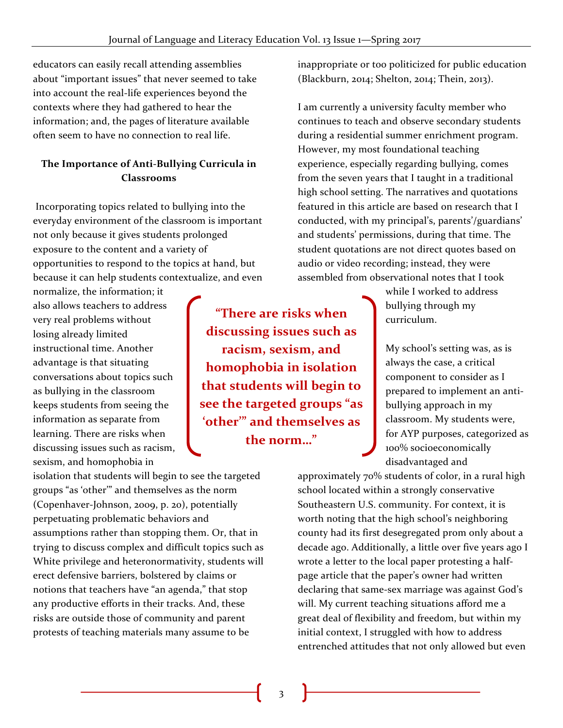educators can easily recall attending assemblies about "important issues" that never seemed to take into account the real-life experiences beyond the contexts where they had gathered to hear the information; and, the pages of literature available often seem to have no connection to real life.

# **The Importance of Anti-Bullying Curricula in Classrooms**

Incorporating topics related to bullying into the everyday environment of the classroom is important not only because it gives students prolonged exposure to the content and a variety of opportunities to respond to the topics at hand, but because it can help students contextualize, and even

normalize, the information; it also allows teachers to address very real problems without losing already limited instructional time. Another advantage is that situating conversations about topics such as bullying in the classroom keeps students from seeing the information as separate from learning. There are risks when discussing issues such as racism, sexism, and homophobia in

isolation that students will begin to see the targeted groups "as 'other'" and themselves as the norm (Copenhaver-Johnson, 2009, p. 20), potentially perpetuating problematic behaviors and assumptions rather than stopping them. Or, that in trying to discuss complex and difficult topics such as White privilege and heteronormativity, students will erect defensive barriers, bolstered by claims or notions that teachers have "an agenda," that stop any productive efforts in their tracks. And, these risks are outside those of community and parent protests of teaching materials many assume to be

**"There are risks when discussing issues such as racism, sexism, and homophobia in isolation that students will begin to see the targeted groups "as 'other'" and themselves as the norm…"**

inappropriate or too politicized for public education (Blackburn, 2014; Shelton, 2014; Thein, 2013).

I am currently a university faculty member who continues to teach and observe secondary students during a residential summer enrichment program. However, my most foundational teaching experience, especially regarding bullying, comes from the seven years that I taught in a traditional high school setting. The narratives and quotations featured in this article are based on research that I conducted, with my principal's, parents'/guardians' and students' permissions, during that time. The student quotations are not direct quotes based on audio or video recording; instead, they were assembled from observational notes that I took

> while I worked to address bullying through my curriculum.

My school's setting was, as is always the case, a critical component to consider as I prepared to implement an antibullying approach in my classroom. My students were, for AYP purposes, categorized as 100% socioeconomically disadvantaged and

approximately 70% students of color, in a rural high school located within a strongly conservative Southeastern U.S. community. For context, it is worth noting that the high school's neighboring county had its first desegregated prom only about a decade ago. Additionally, a little over five years ago I wrote a letter to the local paper protesting a halfpage article that the paper's owner had written declaring that same-sex marriage was against God's will. My current teaching situations afford me a great deal of flexibility and freedom, but within my initial context, I struggled with how to address entrenched attitudes that not only allowed but even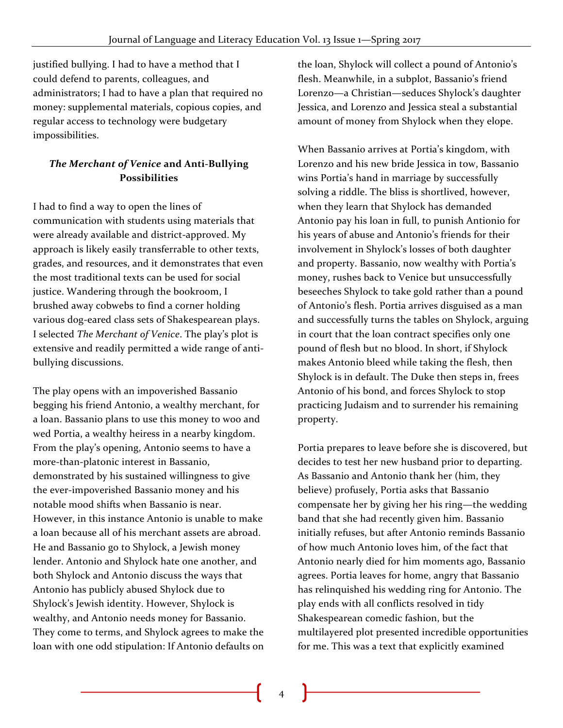justified bullying. I had to have a method that I could defend to parents, colleagues, and administrators; I had to have a plan that required no money: supplemental materials, copious copies, and regular access to technology were budgetary impossibilities.

# *The Merchant of Venice* **and Anti-Bullying Possibilities**

I had to find a way to open the lines of communication with students using materials that were already available and district-approved. My approach is likely easily transferrable to other texts, grades, and resources, and it demonstrates that even the most traditional texts can be used for social justice. Wandering through the bookroom, I brushed away cobwebs to find a corner holding various dog-eared class sets of Shakespearean plays. I selected *The Merchant of Venice*. The play's plot is extensive and readily permitted a wide range of antibullying discussions.

The play opens with an impoverished Bassanio begging his friend Antonio, a wealthy merchant, for a loan. Bassanio plans to use this money to woo and wed Portia, a wealthy heiress in a nearby kingdom. From the play's opening, Antonio seems to have a more-than-platonic interest in Bassanio, demonstrated by his sustained willingness to give the ever-impoverished Bassanio money and his notable mood shifts when Bassanio is near. However, in this instance Antonio is unable to make a loan because all of his merchant assets are abroad. He and Bassanio go to Shylock, a Jewish money lender. Antonio and Shylock hate one another, and both Shylock and Antonio discuss the ways that Antonio has publicly abused Shylock due to Shylock's Jewish identity. However, Shylock is wealthy, and Antonio needs money for Bassanio. They come to terms, and Shylock agrees to make the loan with one odd stipulation: If Antonio defaults on

the loan, Shylock will collect a pound of Antonio's flesh. Meanwhile, in a subplot, Bassanio's friend Lorenzo—a Christian—seduces Shylock's daughter Jessica, and Lorenzo and Jessica steal a substantial amount of money from Shylock when they elope.

When Bassanio arrives at Portia's kingdom, with Lorenzo and his new bride Jessica in tow, Bassanio wins Portia's hand in marriage by successfully solving a riddle. The bliss is shortlived, however, when they learn that Shylock has demanded Antonio pay his loan in full, to punish Antionio for his years of abuse and Antonio's friends for their involvement in Shylock's losses of both daughter and property. Bassanio, now wealthy with Portia's money, rushes back to Venice but unsuccessfully beseeches Shylock to take gold rather than a pound of Antonio's flesh. Portia arrives disguised as a man and successfully turns the tables on Shylock, arguing in court that the loan contract specifies only one pound of flesh but no blood. In short, if Shylock makes Antonio bleed while taking the flesh, then Shylock is in default. The Duke then steps in, frees Antonio of his bond, and forces Shylock to stop practicing Judaism and to surrender his remaining property.

Portia prepares to leave before she is discovered, but decides to test her new husband prior to departing. As Bassanio and Antonio thank her (him, they believe) profusely, Portia asks that Bassanio compensate her by giving her his ring—the wedding band that she had recently given him. Bassanio initially refuses, but after Antonio reminds Bassanio of how much Antonio loves him, of the fact that Antonio nearly died for him moments ago, Bassanio agrees. Portia leaves for home, angry that Bassanio has relinquished his wedding ring for Antonio. The play ends with all conflicts resolved in tidy Shakespearean comedic fashion, but the multilayered plot presented incredible opportunities for me. This was a text that explicitly examined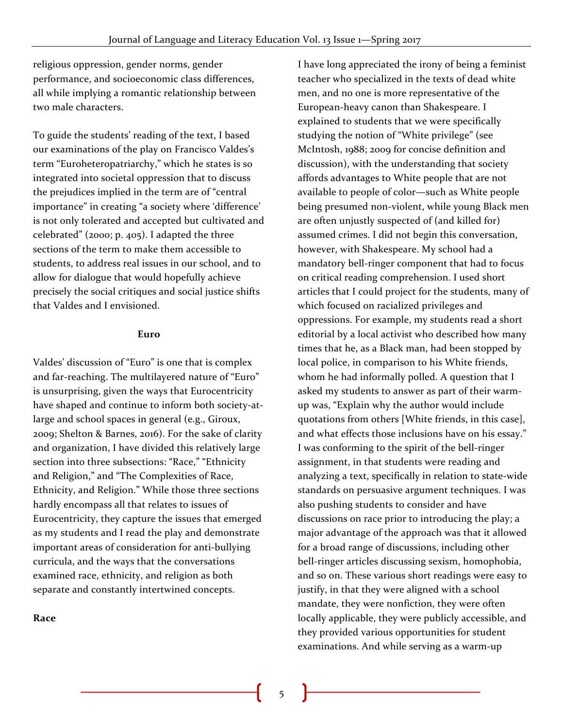religious oppression, gender norms, gender performance, and socioeconomic class differences, all while implying a romantic relationship between two male characters.

To guide the students' reading of the text, I based our examinations of the play on Francisco Valdes's term "Euroheteropatriarchy," which he states is so integrated into societal oppression that to discuss the prejudices implied in the term are of "central importance" in creating "a society where 'difference' is not only tolerated and accepted but cultivated and celebrated" (2000; p. 405). I adapted the three sections of the term to make them accessible to students, to address real issues in our school, and to allow for dialogue that would hopefully achieve precisely the social critiques and social justice shifts that Valdes and I envisioned.

#### **Euro**

Valdes' discussion of "Euro" is one that is complex and far-reaching. The multilayered nature of "Euro" is unsurprising, given the ways that Eurocentricity have shaped and continue to inform both society-atlarge and school spaces in general (e.g., Giroux, 2009; Shelton & Barnes, 2016). For the sake of clarity and organization, I have divided this relatively large section into three subsections: "Race," "Ethnicity and Religion," and "The Complexities of Race, Ethnicity, and Religion." While those three sections hardly encompass all that relates to issues of Eurocentricity, they capture the issues that emerged as my students and I read the play and demonstrate important areas of consideration for anti-bullying curricula, and the ways that the conversations examined race, ethnicity, and religion as both separate and constantly intertwined concepts.

#### **Race**

I have long appreciated the irony of being a feminist teacher who specialized in the texts of dead white men, and no one is more representative of the European-heavy canon than Shakespeare. I explained to students that we were specifically studying the notion of "White privilege" (see McIntosh, 1988; 2009 for concise definition and discussion), with the understanding that society affords advantages to White people that are not available to people of color—such as White people being presumed non-violent, while young Black men are often unjustly suspected of (and killed for) assumed crimes. I did not begin this conversation, however, with Shakespeare. My school had a mandatory bell-ringer component that had to focus on critical reading comprehension. I used short articles that I could project for the students, many of which focused on racialized privileges and oppressions. For example, my students read a short editorial by a local activist who described how many times that he, as a Black man, had been stopped by local police, in comparison to his White friends, whom he had informally polled. A question that I asked my students to answer as part of their warmup was, "Explain why the author would include quotations from others [White friends, in this case], and what effects those inclusions have on his essay." I was conforming to the spirit of the bell-ringer assignment, in that students were reading and analyzing a text, specifically in relation to state-wide standards on persuasive argument techniques. I was also pushing students to consider and have discussions on race prior to introducing the play; a major advantage of the approach was that it allowed for a broad range of discussions, including other bell-ringer articles discussing sexism, homophobia, and so on. These various short readings were easy to justify, in that they were aligned with a school mandate, they were nonfiction, they were often locally applicable, they were publicly accessible, and they provided various opportunities for student examinations. And while serving as a warm-up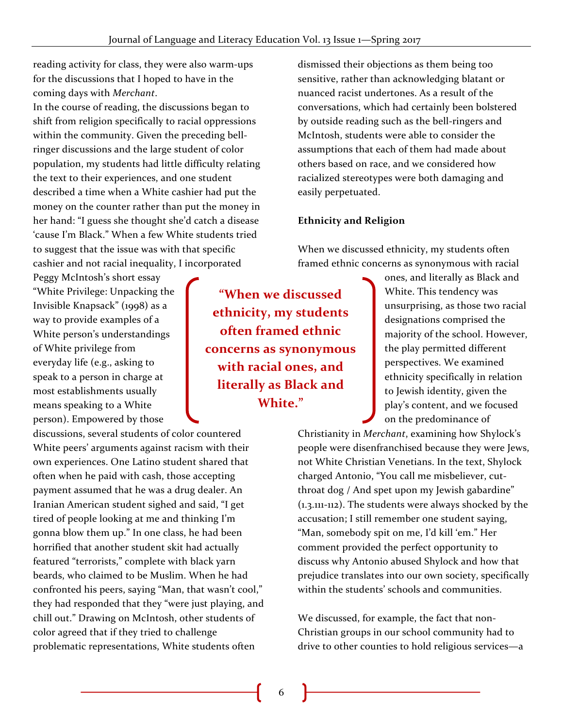reading activity for class, they were also warm-ups for the discussions that I hoped to have in the coming days with *Merchant*.

In the course of reading, the discussions began to shift from religion specifically to racial oppressions within the community. Given the preceding bellringer discussions and the large student of color population, my students had little difficulty relating the text to their experiences, and one student described a time when a White cashier had put the money on the counter rather than put the money in her hand: "I guess she thought she'd catch a disease 'cause I'm Black." When a few White students tried to suggest that the issue was with that specific cashier and not racial inequality, I incorporated

Peggy McIntosh's short essay "White Privilege: Unpacking the Invisible Knapsack" (1998) as a way to provide examples of a White person's understandings of White privilege from everyday life (e.g., asking to speak to a person in charge at most establishments usually means speaking to a White person). Empowered by those

discussions, several students of color countered White peers' arguments against racism with their own experiences. One Latino student shared that often when he paid with cash, those accepting payment assumed that he was a drug dealer. An Iranian American student sighed and said, "I get tired of people looking at me and thinking I'm gonna blow them up." In one class, he had been horrified that another student skit had actually featured "terrorists," complete with black yarn beards, who claimed to be Muslim. When he had confronted his peers, saying "Man, that wasn't cool," they had responded that they "were just playing, and chill out." Drawing on McIntosh, other students of color agreed that if they tried to challenge problematic representations, White students often

dismissed their objections as them being too sensitive, rather than acknowledging blatant or nuanced racist undertones. As a result of the conversations, which had certainly been bolstered by outside reading such as the bell-ringers and McIntosh, students were able to consider the assumptions that each of them had made about others based on race, and we considered how racialized stereotypes were both damaging and easily perpetuated.

### **Ethnicity and Religion**

When we discussed ethnicity, my students often framed ethnic concerns as synonymous with racial

**"When we discussed ethnicity, my students often framed ethnic concerns as synonymous with racial ones, and literally as Black and White."**

ones, and literally as Black and White. This tendency was unsurprising, as those two racial designations comprised the majority of the school. However, the play permitted different perspectives. We examined ethnicity specifically in relation to Jewish identity, given the play's content, and we focused on the predominance of

Christianity in *Merchant*, examining how Shylock's people were disenfranchised because they were Jews, not White Christian Venetians. In the text, Shylock charged Antonio, "You call me misbeliever, cutthroat dog / And spet upon my Jewish gabardine" (1.3.111-112). The students were always shocked by the accusation; I still remember one student saying, "Man, somebody spit on me, I'd kill 'em." Her comment provided the perfect opportunity to discuss why Antonio abused Shylock and how that prejudice translates into our own society, specifically within the students' schools and communities.

We discussed, for example, the fact that non-Christian groups in our school community had to drive to other counties to hold religious services—a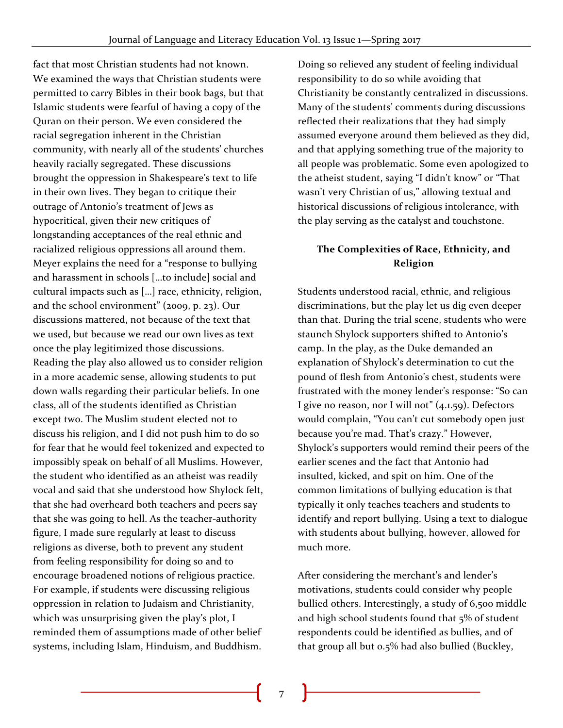fact that most Christian students had not known. We examined the ways that Christian students were permitted to carry Bibles in their book bags, but that Islamic students were fearful of having a copy of the Quran on their person. We even considered the racial segregation inherent in the Christian community, with nearly all of the students' churches heavily racially segregated. These discussions brought the oppression in Shakespeare's text to life in their own lives. They began to critique their outrage of Antonio's treatment of Jews as hypocritical, given their new critiques of longstanding acceptances of the real ethnic and racialized religious oppressions all around them. Meyer explains the need for a "response to bullying and harassment in schools […to include] social and cultural impacts such as […] race, ethnicity, religion, and the school environment" (2009, p. 23). Our discussions mattered, not because of the text that we used, but because we read our own lives as text once the play legitimized those discussions. Reading the play also allowed us to consider religion in a more academic sense, allowing students to put down walls regarding their particular beliefs. In one class, all of the students identified as Christian except two. The Muslim student elected not to discuss his religion, and I did not push him to do so for fear that he would feel tokenized and expected to impossibly speak on behalf of all Muslims. However, the student who identified as an atheist was readily vocal and said that she understood how Shylock felt, that she had overheard both teachers and peers say that she was going to hell. As the teacher-authority figure, I made sure regularly at least to discuss religions as diverse, both to prevent any student from feeling responsibility for doing so and to encourage broadened notions of religious practice. For example, if students were discussing religious oppression in relation to Judaism and Christianity, which was unsurprising given the play's plot, I reminded them of assumptions made of other belief systems, including Islam, Hinduism, and Buddhism.

Doing so relieved any student of feeling individual responsibility to do so while avoiding that Christianity be constantly centralized in discussions. Many of the students' comments during discussions reflected their realizations that they had simply assumed everyone around them believed as they did, and that applying something true of the majority to all people was problematic. Some even apologized to the atheist student, saying "I didn't know" or "That wasn't very Christian of us," allowing textual and historical discussions of religious intolerance, with the play serving as the catalyst and touchstone.

# **The Complexities of Race, Ethnicity, and Religion**

Students understood racial, ethnic, and religious discriminations, but the play let us dig even deeper than that. During the trial scene, students who were staunch Shylock supporters shifted to Antonio's camp. In the play, as the Duke demanded an explanation of Shylock's determination to cut the pound of flesh from Antonio's chest, students were frustrated with the money lender's response: "So can I give no reason, nor I will not" (4.1.59). Defectors would complain, "You can't cut somebody open just because you're mad. That's crazy." However, Shylock's supporters would remind their peers of the earlier scenes and the fact that Antonio had insulted, kicked, and spit on him. One of the common limitations of bullying education is that typically it only teaches teachers and students to identify and report bullying. Using a text to dialogue with students about bullying, however, allowed for much more.

After considering the merchant's and lender's motivations, students could consider why people bullied others. Interestingly, a study of 6,500 middle and high school students found that 5% of student respondents could be identified as bullies, and of that group all but 0.5% had also bullied (Buckley,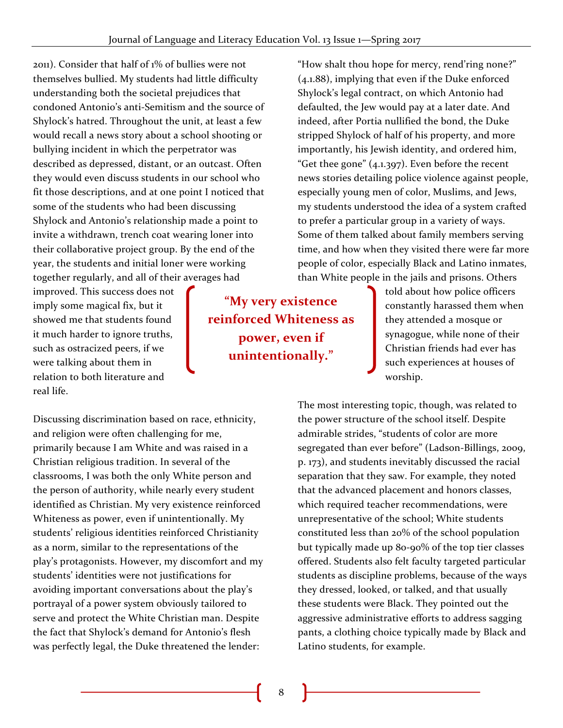2011). Consider that half of 1% of bullies were not themselves bullied. My students had little difficulty understanding both the societal prejudices that condoned Antonio's anti-Semitism and the source of Shylock's hatred. Throughout the unit, at least a few would recall a news story about a school shooting or bullying incident in which the perpetrator was described as depressed, distant, or an outcast. Often they would even discuss students in our school who fit those descriptions, and at one point I noticed that some of the students who had been discussing Shylock and Antonio's relationship made a point to invite a withdrawn, trench coat wearing loner into their collaborative project group. By the end of the year, the students and initial loner were working together regularly, and all of their averages had

improved. This success does not imply some magical fix, but it showed me that students found it much harder to ignore truths, such as ostracized peers, if we were talking about them in relation to both literature and real life.

Discussing discrimination based on race, ethnicity, and religion were often challenging for me, primarily because I am White and was raised in a Christian religious tradition. In several of the classrooms, I was both the only White person and the person of authority, while nearly every student identified as Christian. My very existence reinforced Whiteness as power, even if unintentionally. My students' religious identities reinforced Christianity as a norm, similar to the representations of the play's protagonists. However, my discomfort and my students' identities were not justifications for avoiding important conversations about the play's portrayal of a power system obviously tailored to serve and protect the White Christian man. Despite the fact that Shylock's demand for Antonio's flesh was perfectly legal, the Duke threatened the lender:

**"My very existence reinforced Whiteness as power, even if unintentionally."**

"How shalt thou hope for mercy, rend'ring none?" (4.1.88), implying that even if the Duke enforced Shylock's legal contract, on which Antonio had defaulted, the Jew would pay at a later date. And indeed, after Portia nullified the bond, the Duke stripped Shylock of half of his property, and more importantly, his Jewish identity, and ordered him, "Get thee gone"  $(4.1.397)$ . Even before the recent news stories detailing police violence against people, especially young men of color, Muslims, and Jews, my students understood the idea of a system crafted to prefer a particular group in a variety of ways. Some of them talked about family members serving time, and how when they visited there were far more people of color, especially Black and Latino inmates, than White people in the jails and prisons. Others

> told about how police officers constantly harassed them when they attended a mosque or synagogue, while none of their Christian friends had ever has such experiences at houses of worship.

The most interesting topic, though, was related to the power structure of the school itself. Despite admirable strides, "students of color are more segregated than ever before" (Ladson-Billings, 2009, p. 173), and students inevitably discussed the racial separation that they saw. For example, they noted that the advanced placement and honors classes, which required teacher recommendations, were unrepresentative of the school; White students constituted less than 20% of the school population but typically made up 80-90% of the top tier classes offered. Students also felt faculty targeted particular students as discipline problems, because of the ways they dressed, looked, or talked, and that usually these students were Black. They pointed out the aggressive administrative efforts to address sagging pants, a clothing choice typically made by Black and Latino students, for example.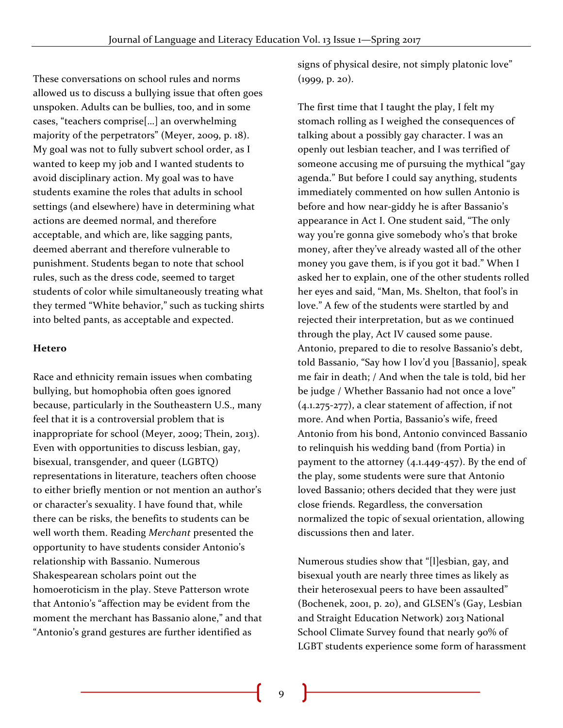These conversations on school rules and norms allowed us to discuss a bullying issue that often goes unspoken. Adults can be bullies, too, and in some cases, "teachers comprise[…] an overwhelming majority of the perpetrators" (Meyer, 2009, p. 18). My goal was not to fully subvert school order, as I wanted to keep my job and I wanted students to avoid disciplinary action. My goal was to have students examine the roles that adults in school settings (and elsewhere) have in determining what actions are deemed normal, and therefore acceptable, and which are, like sagging pants, deemed aberrant and therefore vulnerable to punishment. Students began to note that school rules, such as the dress code, seemed to target students of color while simultaneously treating what they termed "White behavior," such as tucking shirts into belted pants, as acceptable and expected.

#### **Hetero**

Race and ethnicity remain issues when combating bullying, but homophobia often goes ignored because, particularly in the Southeastern U.S., many feel that it is a controversial problem that is inappropriate for school (Meyer, 2009; Thein, 2013). Even with opportunities to discuss lesbian, gay, bisexual, transgender, and queer (LGBTQ) representations in literature, teachers often choose to either briefly mention or not mention an author's or character's sexuality. I have found that, while there can be risks, the benefits to students can be well worth them. Reading *Merchant* presented the opportunity to have students consider Antonio's relationship with Bassanio. Numerous Shakespearean scholars point out the homoeroticism in the play. Steve Patterson wrote that Antonio's "affection may be evident from the moment the merchant has Bassanio alone," and that "Antonio's grand gestures are further identified as

signs of physical desire, not simply platonic love" (1999, p. 20).

The first time that I taught the play, I felt my stomach rolling as I weighed the consequences of talking about a possibly gay character. I was an openly out lesbian teacher, and I was terrified of someone accusing me of pursuing the mythical "gay agenda." But before I could say anything, students immediately commented on how sullen Antonio is before and how near-giddy he is after Bassanio's appearance in Act I. One student said, "The only way you're gonna give somebody who's that broke money, after they've already wasted all of the other money you gave them, is if you got it bad." When I asked her to explain, one of the other students rolled her eyes and said, "Man, Ms. Shelton, that fool's in love." A few of the students were startled by and rejected their interpretation, but as we continued through the play, Act IV caused some pause. Antonio, prepared to die to resolve Bassanio's debt, told Bassanio, "Say how I lov'd you [Bassanio], speak me fair in death; / And when the tale is told, bid her be judge / Whether Bassanio had not once a love" (4.1.275-277), a clear statement of affection, if not more. And when Portia, Bassanio's wife, freed Antonio from his bond, Antonio convinced Bassanio to relinquish his wedding band (from Portia) in payment to the attorney  $(4.1.449-457)$ . By the end of the play, some students were sure that Antonio loved Bassanio; others decided that they were just close friends. Regardless, the conversation normalized the topic of sexual orientation, allowing discussions then and later.

Numerous studies show that "[l]esbian, gay, and bisexual youth are nearly three times as likely as their heterosexual peers to have been assaulted" (Bochenek, 2001, p. 20), and GLSEN's (Gay, Lesbian and Straight Education Network) 2013 National School Climate Survey found that nearly 90% of LGBT students experience some form of harassment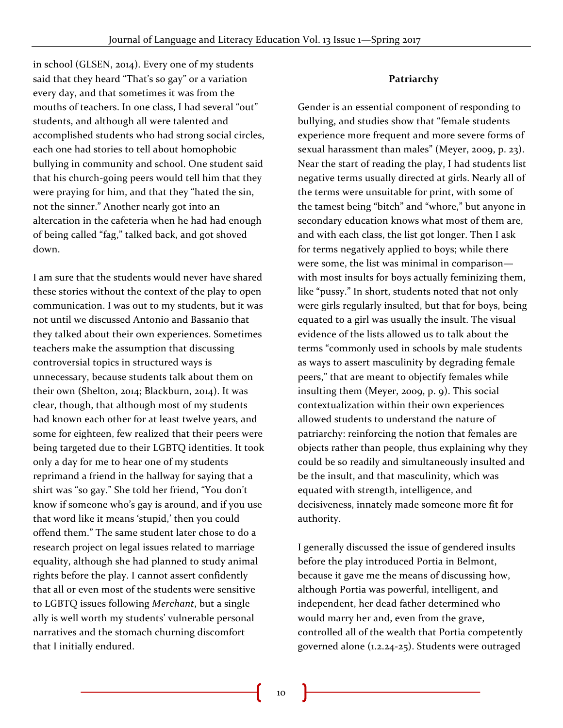in school (GLSEN, 2014). Every one of my students said that they heard "That's so gay" or a variation every day, and that sometimes it was from the mouths of teachers. In one class, I had several "out" students, and although all were talented and accomplished students who had strong social circles, each one had stories to tell about homophobic bullying in community and school. One student said that his church-going peers would tell him that they were praying for him, and that they "hated the sin, not the sinner." Another nearly got into an altercation in the cafeteria when he had had enough of being called "fag," talked back, and got shoved down.

I am sure that the students would never have shared these stories without the context of the play to open communication. I was out to my students, but it was not until we discussed Antonio and Bassanio that they talked about their own experiences. Sometimes teachers make the assumption that discussing controversial topics in structured ways is unnecessary, because students talk about them on their own (Shelton, 2014; Blackburn, 2014). It was clear, though, that although most of my students had known each other for at least twelve years, and some for eighteen, few realized that their peers were being targeted due to their LGBTQ identities. It took only a day for me to hear one of my students reprimand a friend in the hallway for saying that a shirt was "so gay." She told her friend, "You don't know if someone who's gay is around, and if you use that word like it means 'stupid,' then you could offend them." The same student later chose to do a research project on legal issues related to marriage equality, although she had planned to study animal rights before the play. I cannot assert confidently that all or even most of the students were sensitive to LGBTQ issues following *Merchant*, but a single ally is well worth my students' vulnerable personal narratives and the stomach churning discomfort that I initially endured.

#### **Patriarchy**

Gender is an essential component of responding to bullying, and studies show that "female students experience more frequent and more severe forms of sexual harassment than males" (Meyer, 2009, p. 23). Near the start of reading the play, I had students list negative terms usually directed at girls. Nearly all of the terms were unsuitable for print, with some of the tamest being "bitch" and "whore," but anyone in secondary education knows what most of them are, and with each class, the list got longer. Then I ask for terms negatively applied to boys; while there were some, the list was minimal in comparison with most insults for boys actually feminizing them, like "pussy." In short, students noted that not only were girls regularly insulted, but that for boys, being equated to a girl was usually the insult. The visual evidence of the lists allowed us to talk about the terms "commonly used in schools by male students as ways to assert masculinity by degrading female peers," that are meant to objectify females while insulting them (Meyer, 2009, p. 9). This social contextualization within their own experiences allowed students to understand the nature of patriarchy: reinforcing the notion that females are objects rather than people, thus explaining why they could be so readily and simultaneously insulted and be the insult, and that masculinity, which was equated with strength, intelligence, and decisiveness, innately made someone more fit for authority.

I generally discussed the issue of gendered insults before the play introduced Portia in Belmont, because it gave me the means of discussing how, although Portia was powerful, intelligent, and independent, her dead father determined who would marry her and, even from the grave, controlled all of the wealth that Portia competently governed alone (1.2.24-25). Students were outraged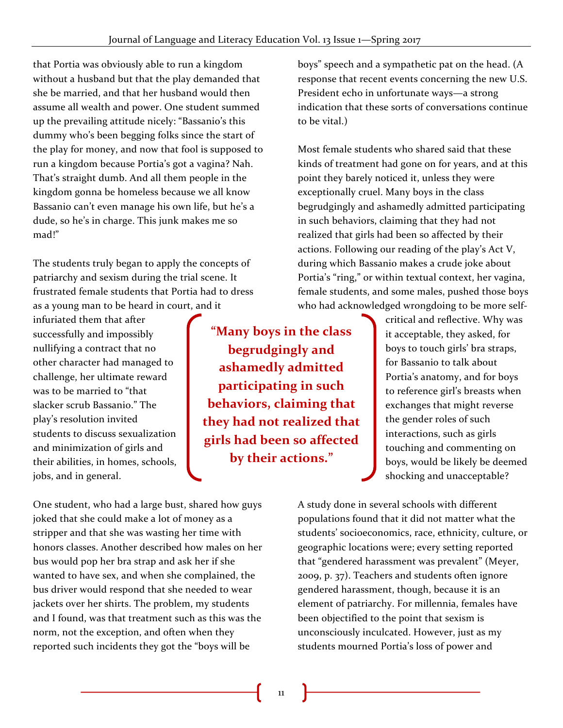that Portia was obviously able to run a kingdom without a husband but that the play demanded that she be married, and that her husband would then assume all wealth and power. One student summed up the prevailing attitude nicely: "Bassanio's this dummy who's been begging folks since the start of the play for money, and now that fool is supposed to run a kingdom because Portia's got a vagina? Nah. That's straight dumb. And all them people in the kingdom gonna be homeless because we all know Bassanio can't even manage his own life, but he's a dude, so he's in charge. This junk makes me so mad!"

The students truly began to apply the concepts of patriarchy and sexism during the trial scene. It frustrated female students that Portia had to dress as a young man to be heard in court, and it

infuriated them that after successfully and impossibly nullifying a contract that no other character had managed to challenge, her ultimate reward was to be married to "that slacker scrub Bassanio." The play's resolution invited students to discuss sexualization and minimization of girls and their abilities, in homes, schools, jobs, and in general.

**"Many boys in the class begrudgingly and ashamedly admitted participating in such behaviors, claiming that they had not realized that girls had been so affected by their actions."**

boys" speech and a sympathetic pat on the head. (A response that recent events concerning the new U.S. President echo in unfortunate ways—a strong indication that these sorts of conversations continue to be vital.)

Most female students who shared said that these kinds of treatment had gone on for years, and at this point they barely noticed it, unless they were exceptionally cruel. Many boys in the class begrudgingly and ashamedly admitted participating in such behaviors, claiming that they had not realized that girls had been so affected by their actions. Following our reading of the play's Act V, during which Bassanio makes a crude joke about Portia's "ring," or within textual context, her vagina, female students, and some males, pushed those boys who had acknowledged wrongdoing to be more self-

> critical and reflective. Why was it acceptable, they asked, for boys to touch girls' bra straps, for Bassanio to talk about Portia's anatomy, and for boys to reference girl's breasts when exchanges that might reverse the gender roles of such interactions, such as girls touching and commenting on boys, would be likely be deemed shocking and unacceptable?

One student, who had a large bust, shared how guys joked that she could make a lot of money as a stripper and that she was wasting her time with honors classes. Another described how males on her bus would pop her bra strap and ask her if she wanted to have sex, and when she complained, the bus driver would respond that she needed to wear jackets over her shirts. The problem, my students and I found, was that treatment such as this was the norm, not the exception, and often when they reported such incidents they got the "boys will be

A study done in several schools with different populations found that it did not matter what the students' socioeconomics, race, ethnicity, culture, or geographic locations were; every setting reported that "gendered harassment was prevalent" (Meyer, 2009, p. 37). Teachers and students often ignore gendered harassment, though, because it is an element of patriarchy. For millennia, females have been objectified to the point that sexism is unconsciously inculcated. However, just as my students mourned Portia's loss of power and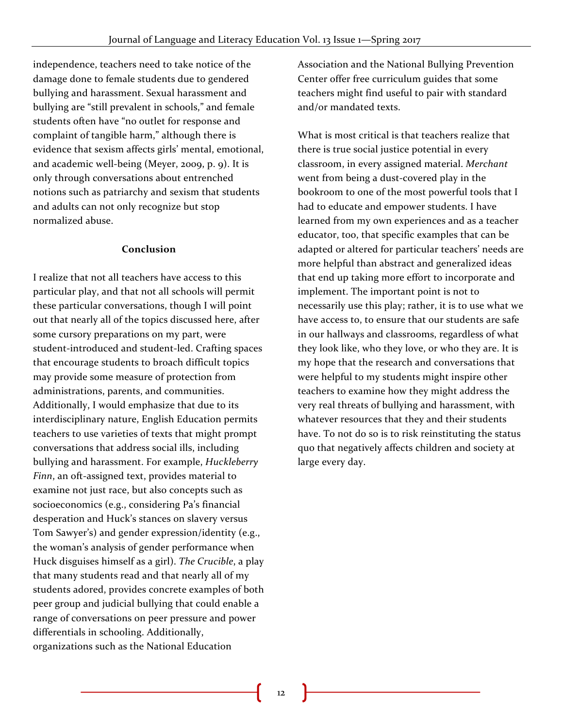independence, teachers need to take notice of the damage done to female students due to gendered bullying and harassment. Sexual harassment and bullying are "still prevalent in schools," and female students often have "no outlet for response and complaint of tangible harm," although there is evidence that sexism affects girls' mental, emotional, and academic well-being (Meyer, 2009, p. 9). It is only through conversations about entrenched notions such as patriarchy and sexism that students and adults can not only recognize but stop normalized abuse.

#### **Conclusion**

I realize that not all teachers have access to this particular play, and that not all schools will permit these particular conversations, though I will point out that nearly all of the topics discussed here, after some cursory preparations on my part, were student-introduced and student-led. Crafting spaces that encourage students to broach difficult topics may provide some measure of protection from administrations, parents, and communities. Additionally, I would emphasize that due to its interdisciplinary nature, English Education permits teachers to use varieties of texts that might prompt conversations that address social ills, including bullying and harassment. For example, *Huckleberry Finn*, an oft-assigned text, provides material to examine not just race, but also concepts such as socioeconomics (e.g., considering Pa's financial desperation and Huck's stances on slavery versus Tom Sawyer's) and gender expression/identity (e.g., the woman's analysis of gender performance when Huck disguises himself as a girl). *The Crucible*, a play that many students read and that nearly all of my students adored, provides concrete examples of both peer group and judicial bullying that could enable a range of conversations on peer pressure and power differentials in schooling. Additionally, organizations such as the National Education

Association and the National Bullying Prevention Center offer free curriculum guides that some teachers might find useful to pair with standard and/or mandated texts.

What is most critical is that teachers realize that there is true social justice potential in every classroom, in every assigned material. *Merchant* went from being a dust-covered play in the bookroom to one of the most powerful tools that I had to educate and empower students. I have learned from my own experiences and as a teacher educator, too, that specific examples that can be adapted or altered for particular teachers' needs are more helpful than abstract and generalized ideas that end up taking more effort to incorporate and implement. The important point is not to necessarily use this play; rather, it is to use what we have access to, to ensure that our students are safe in our hallways and classrooms, regardless of what they look like, who they love, or who they are. It is my hope that the research and conversations that were helpful to my students might inspire other teachers to examine how they might address the very real threats of bullying and harassment, with whatever resources that they and their students have. To not do so is to risk reinstituting the status quo that negatively affects children and society at large every day.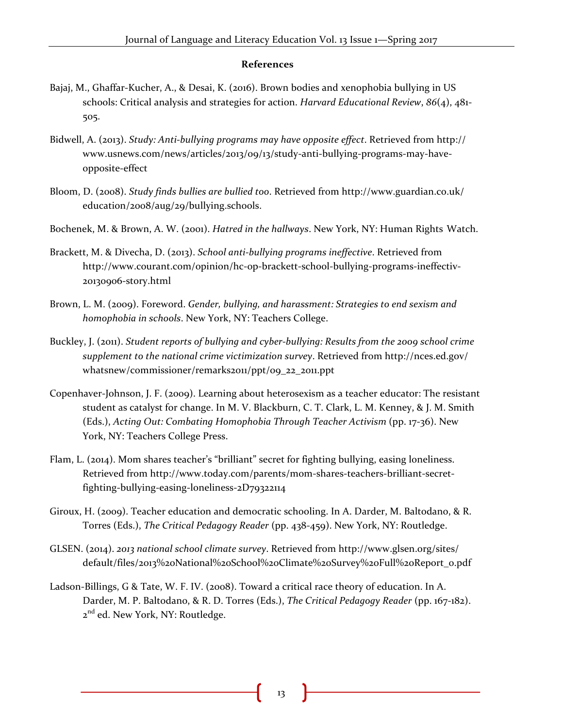#### **References**

- Bajaj, M., Ghaffar-Kucher, A., & Desai, K. (2016). Brown bodies and xenophobia bullying in US schools: Critical analysis and strategies for action. *Harvard Educational Review*, *86*(4), 481- 505.
- Bidwell, A. (2013). *Study: Anti-bullying programs may have opposite effect*. Retrieved from http:// www.usnews.com/news/articles/2013/09/13/study-anti-bullying-programs-may-haveopposite-effect
- Bloom, D. (2008). *Study finds bullies are bullied too*. Retrieved from http://www.guardian.co.uk/ education/2008/aug/29/bullying.schools.
- Bochenek, M. & Brown, A. W. (2001). *Hatred in the hallways*. New York, NY: Human Rights Watch.
- Brackett, M. & Divecha, D. (2013). *School anti-bullying programs ineffective*. Retrieved from http://www.courant.com/opinion/hc-op-brackett-school-bullying-programs-ineffectiv-20130906-story.html
- Brown, L. M. (2009). Foreword. *Gender, bullying, and harassment: Strategies to end sexism and homophobia in schools*. New York, NY: Teachers College.
- Buckley, J. (2011). *Student reports of bullying and cyber-bullying: Results from the 2009 school crime supplement to the national crime victimization survey*. Retrieved from http://nces.ed.gov/ whatsnew/commissioner/remarks2011/ppt/09\_22\_2011.ppt
- Copenhaver-Johnson, J. F. (2009). Learning about heterosexism as a teacher educator: The resistant student as catalyst for change. In M. V. Blackburn, C. T. Clark, L. M. Kenney, & J. M. Smith (Eds.), *Acting Out: Combating Homophobia Through Teacher Activism* (pp. 17-36). New York, NY: Teachers College Press.
- Flam, L. (2014). Mom shares teacher's "brilliant" secret for fighting bullying, easing loneliness. Retrieved from http://www.today.com/parents/mom-shares-teachers-brilliant-secretfighting-bullying-easing-loneliness-2D79322114
- Giroux, H. (2009). Teacher education and democratic schooling. In A. Darder, M. Baltodano, & R. Torres (Eds.), *The Critical Pedagogy Reader* (pp. 438-459). New York, NY: Routledge.
- GLSEN. (2014). *2013 national school climate survey*. Retrieved from http://www.glsen.org/sites/ default/files/2013%20National%20School%20Climate%20Survey%20Full%20Report\_0.pdf
- Ladson-Billings, G & Tate, W. F. IV. (2008). Toward a critical race theory of education. In A. Darder, M. P. Baltodano, & R. D. Torres (Eds.), *The Critical Pedagogy Reader* (pp. 167-182). 2<sup>nd</sup> ed. New York, NY: Routledge.